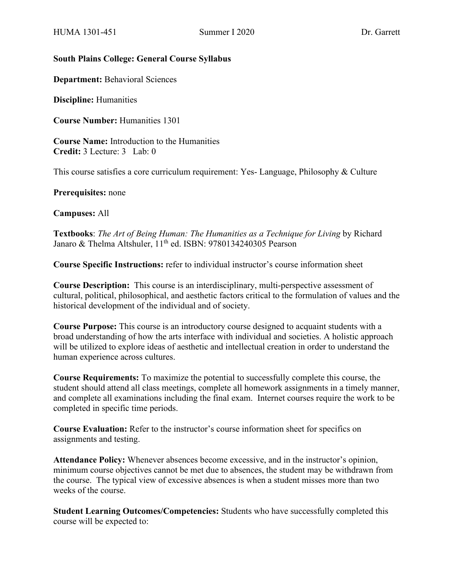#### **South Plains College: General Course Syllabus**

**Department:** Behavioral Sciences

**Discipline:** Humanities

**Course Number:** Humanities 1301

**Course Name:** Introduction to the Humanities **Credit:** 3 Lecture: 3 Lab: 0

This course satisfies a core curriculum requirement: Yes- Language, Philosophy & Culture

**Prerequisites:** none

**Campuses:** All

**Textbooks**: *The Art of Being Human: The Humanities as a Technique for Living* by Richard Janaro & Thelma Altshuler, 11<sup>th</sup> ed. ISBN: 9780134240305 Pearson

**Course Specific Instructions:** refer to individual instructor's course information sheet

**Course Description:** This course is an interdisciplinary, multi-perspective assessment of cultural, political, philosophical, and aesthetic factors critical to the formulation of values and the historical development of the individual and of society.

**Course Purpose:** This course is an introductory course designed to acquaint students with a broad understanding of how the arts interface with individual and societies. A holistic approach will be utilized to explore ideas of aesthetic and intellectual creation in order to understand the human experience across cultures.

**Course Requirements:** To maximize the potential to successfully complete this course, the student should attend all class meetings, complete all homework assignments in a timely manner, and complete all examinations including the final exam. Internet courses require the work to be completed in specific time periods.

**Course Evaluation:** Refer to the instructor's course information sheet for specifics on assignments and testing.

**Attendance Policy:** Whenever absences become excessive, and in the instructor's opinion, minimum course objectives cannot be met due to absences, the student may be withdrawn from the course. The typical view of excessive absences is when a student misses more than two weeks of the course.

**Student Learning Outcomes/Competencies:** Students who have successfully completed this course will be expected to: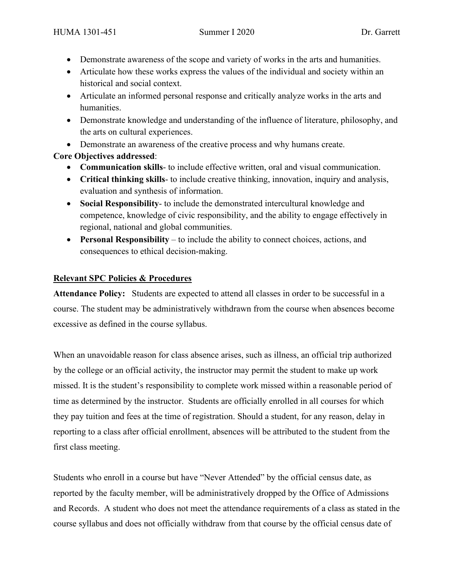- Demonstrate awareness of the scope and variety of works in the arts and humanities.
- Articulate how these works express the values of the individual and society within an historical and social context.
- Articulate an informed personal response and critically analyze works in the arts and humanities.
- Demonstrate knowledge and understanding of the influence of literature, philosophy, and the arts on cultural experiences.
- Demonstrate an awareness of the creative process and why humans create.

# **Core Objectives addressed**:

- **Communication skills** to include effective written, oral and visual communication.
- **Critical thinking skills** to include creative thinking, innovation, inquiry and analysis, evaluation and synthesis of information.
- **Social Responsibility** to include the demonstrated intercultural knowledge and competence, knowledge of civic responsibility, and the ability to engage effectively in regional, national and global communities.
- **Personal Responsibility** to include the ability to connect choices, actions, and consequences to ethical decision-making.

# **Relevant SPC Policies & Procedures**

**Attendance Policy:** Students are expected to attend all classes in order to be successful in a course. The student may be administratively withdrawn from the course when absences become excessive as defined in the course syllabus.

When an unavoidable reason for class absence arises, such as illness, an official trip authorized by the college or an official activity, the instructor may permit the student to make up work missed. It is the student's responsibility to complete work missed within a reasonable period of time as determined by the instructor. Students are officially enrolled in all courses for which they pay tuition and fees at the time of registration. Should a student, for any reason, delay in reporting to a class after official enrollment, absences will be attributed to the student from the first class meeting.

Students who enroll in a course but have "Never Attended" by the official census date, as reported by the faculty member, will be administratively dropped by the Office of Admissions and Records. A student who does not meet the attendance requirements of a class as stated in the course syllabus and does not officially withdraw from that course by the official census date of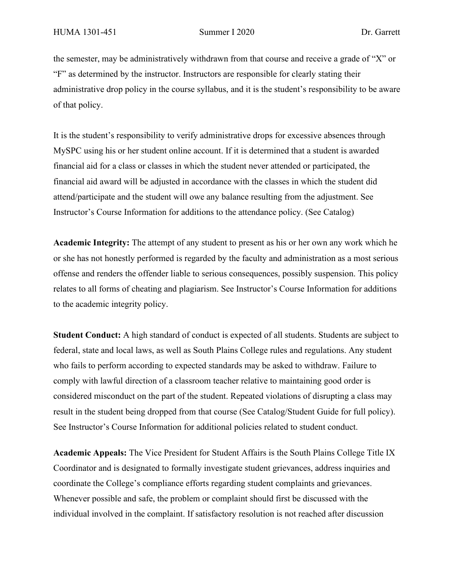the semester, may be administratively withdrawn from that course and receive a grade of "X" or "F" as determined by the instructor. Instructors are responsible for clearly stating their administrative drop policy in the course syllabus, and it is the student's responsibility to be aware of that policy.

It is the student's responsibility to verify administrative drops for excessive absences through MySPC using his or her student online account. If it is determined that a student is awarded financial aid for a class or classes in which the student never attended or participated, the financial aid award will be adjusted in accordance with the classes in which the student did attend/participate and the student will owe any balance resulting from the adjustment. See Instructor's Course Information for additions to the attendance policy. (See Catalog)

**Academic Integrity:** The attempt of any student to present as his or her own any work which he or she has not honestly performed is regarded by the faculty and administration as a most serious offense and renders the offender liable to serious consequences, possibly suspension. This policy relates to all forms of cheating and plagiarism. See Instructor's Course Information for additions to the academic integrity policy.

**Student Conduct:** A high standard of conduct is expected of all students. Students are subject to federal, state and local laws, as well as South Plains College rules and regulations. Any student who fails to perform according to expected standards may be asked to withdraw. Failure to comply with lawful direction of a classroom teacher relative to maintaining good order is considered misconduct on the part of the student. Repeated violations of disrupting a class may result in the student being dropped from that course (See Catalog/Student Guide for full policy). See Instructor's Course Information for additional policies related to student conduct.

**Academic Appeals:** The Vice President for Student Affairs is the South Plains College Title IX Coordinator and is designated to formally investigate student grievances, address inquiries and coordinate the College's compliance efforts regarding student complaints and grievances. Whenever possible and safe, the problem or complaint should first be discussed with the individual involved in the complaint. If satisfactory resolution is not reached after discussion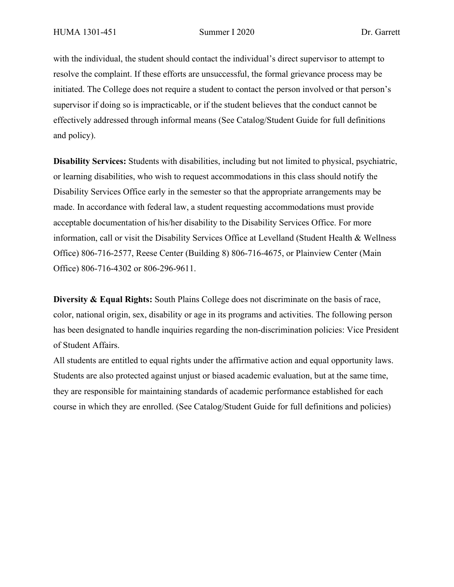with the individual, the student should contact the individual's direct supervisor to attempt to resolve the complaint. If these efforts are unsuccessful, the formal grievance process may be initiated. The College does not require a student to contact the person involved or that person's supervisor if doing so is impracticable, or if the student believes that the conduct cannot be effectively addressed through informal means (See Catalog/Student Guide for full definitions and policy).

**Disability Services:** Students with disabilities, including but not limited to physical, psychiatric, or learning disabilities, who wish to request accommodations in this class should notify the Disability Services Office early in the semester so that the appropriate arrangements may be made. In accordance with federal law, a student requesting accommodations must provide acceptable documentation of his/her disability to the Disability Services Office. For more information, call or visit the Disability Services Office at Levelland (Student Health & Wellness Office) 806-716-2577, Reese Center (Building 8) 806-716-4675, or Plainview Center (Main Office) 806-716-4302 or 806-296-9611.

**Diversity & Equal Rights:** South Plains College does not discriminate on the basis of race, color, national origin, sex, disability or age in its programs and activities. The following person has been designated to handle inquiries regarding the non-discrimination policies: Vice President of Student Affairs.

All students are entitled to equal rights under the affirmative action and equal opportunity laws. Students are also protected against unjust or biased academic evaluation, but at the same time, they are responsible for maintaining standards of academic performance established for each course in which they are enrolled. (See Catalog/Student Guide for full definitions and policies)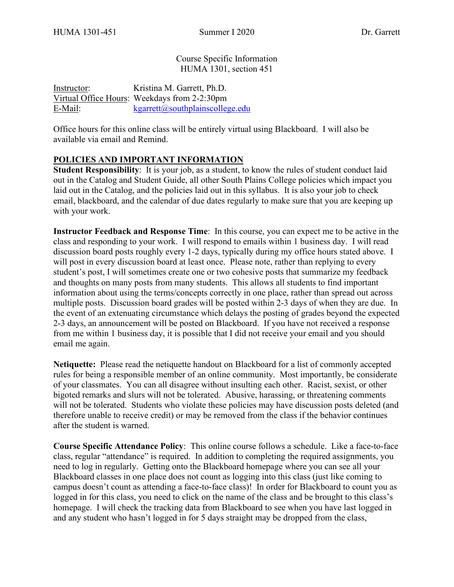Course Specific Information HUMA 1301, section 451

Instructor: Kristina M. Garrett, Ph.D. Virtual Office Hours: Weekdays from 2-2:30pm E-Mail: [kgarrett@southplainscollege.edu](mailto:kgarrett@southplainscollege.edu?subject=%5BHUMA%201301-151%5D)

Office hours for this online class will be entirely virtual using Blackboard. I will also be available via email and Remind.

### **POLICIES AND IMPORTANT INFORMATION**

**Student Responsibility**: It is your job, as a student, to know the rules of student conduct laid out in the Catalog and Student Guide, all other South Plains College policies which impact you laid out in the Catalog, and the policies laid out in this syllabus. It is also your job to check email, blackboard, and the calendar of due dates regularly to make sure that you are keeping up with your work.

**Instructor Feedback and Response Time**: In this course, you can expect me to be active in the class and responding to your work. I will respond to emails within 1 business day. I will read discussion board posts roughly every 1-2 days, typically during my office hours stated above. I will post in every discussion board at least once. Please note, rather than replying to every student's post, I will sometimes create one or two cohesive posts that summarize my feedback and thoughts on many posts from many students. This allows all students to find important information about using the terms/concepts correctly in one place, rather than spread out across multiple posts. Discussion board grades will be posted within 2-3 days of when they are due. In the event of an extenuating circumstance which delays the posting of grades beyond the expected 2-3 days, an announcement will be posted on Blackboard. If you have not received a response from me within 1 business day, it is possible that I did not receive your email and you should email me again.

**Netiquette:** Please read the netiquette handout on Blackboard for a list of commonly accepted rules for being a responsible member of an online community. Most importantly, be considerate of your classmates. You can all disagree without insulting each other. Racist, sexist, or other bigoted remarks and slurs will not be tolerated. Abusive, harassing, or threatening comments will not be tolerated. Students who violate these policies may have discussion posts deleted (and therefore unable to receive credit) or may be removed from the class if the behavior continues after the student is warned.

**Course Specific Attendance Policy**: This online course follows a schedule. Like a face-to-face class, regular "attendance" is required. In addition to completing the required assignments, you need to log in regularly. Getting onto the Blackboard homepage where you can see all your Blackboard classes in one place does not count as logging into this class (just like coming to campus doesn't count as attending a face-to-face class)! In order for Blackboard to count you as logged in for this class, you need to click on the name of the class and be brought to this class's homepage. I will check the tracking data from Blackboard to see when you have last logged in and any student who hasn't logged in for 5 days straight may be dropped from the class,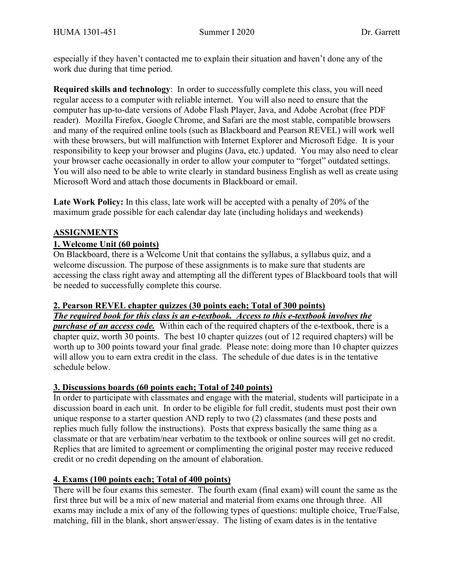especially if they haven't contacted me to explain their situation and haven't done any of the work due during that time period.

**Required skills and technology**: In order to successfully complete this class, you will need regular access to a computer with reliable internet. You will also need to ensure that the computer has up-to-date versions of Adobe Flash Player, Java, and Adobe Acrobat (free PDF reader). Mozilla Firefox, Google Chrome, and Safari are the most stable, compatible browsers and many of the required online tools (such as Blackboard and Pearson REVEL) will work well with these browsers, but will malfunction with Internet Explorer and Microsoft Edge. It is your responsibility to keep your browser and plugins (Java, etc.) updated. You may also need to clear your browser cache occasionally in order to allow your computer to "forget" outdated settings. You will also need to be able to write clearly in standard business English as well as create using Microsoft Word and attach those documents in Blackboard or email.

Late Work Policy: In this class, late work will be accepted with a penalty of 20% of the maximum grade possible for each calendar day late (including holidays and weekends)

### **ASSIGNMENTS**

### **1. Welcome Unit (60 points)**

On Blackboard, there is a Welcome Unit that contains the syllabus, a syllabus quiz, and a welcome discussion. The purpose of these assignments is to make sure that students are accessing the class right away and attempting all the different types of Blackboard tools that will be needed to successfully complete this course.

### **2. Pearson REVEL chapter quizzes (30 points each; Total of 300 points)**

*The required book for this class is an e-textbook. Access to this e-textbook involves the purchase of an access code.* Within each of the required chapters of the e-textbook, there is a chapter quiz, worth 30 points. The best 10 chapter quizzes (out of 12 required chapters) will be worth up to 300 points toward your final grade. Please note: doing more than 10 chapter quizzes will allow you to earn extra credit in the class. The schedule of due dates is in the tentative schedule below.

### **3. Discussions boards (60 points each; Total of 240 points)**

In order to participate with classmates and engage with the material, students will participate in a discussion board in each unit. In order to be eligible for full credit, students must post their own unique response to a starter question AND reply to two (2) classmates (and these posts and replies much fully follow the instructions). Posts that express basically the same thing as a classmate or that are verbatim/near verbatim to the textbook or online sources will get no credit. Replies that are limited to agreement or complimenting the original poster may receive reduced credit or no credit depending on the amount of elaboration.

### **4. Exams (100 points each; Total of 400 points)**

There will be four exams this semester. The fourth exam (final exam) will count the same as the first three but will be a mix of new material and material from exams one through three. All exams may include a mix of any of the following types of questions: multiple choice, True/False, matching, fill in the blank, short answer/essay. The listing of exam dates is in the tentative